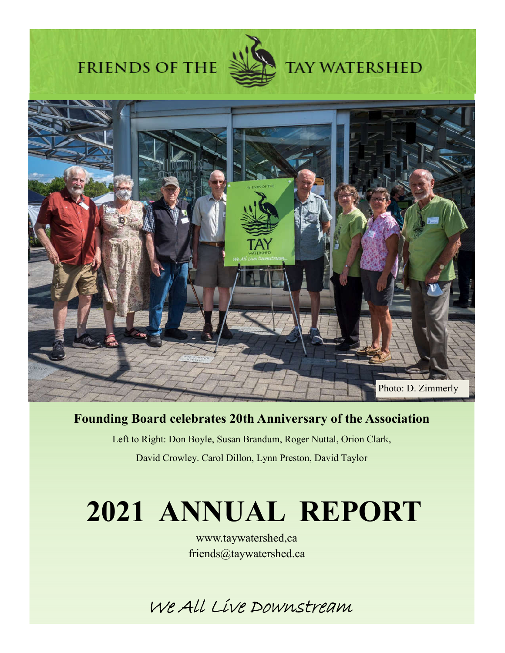# **FRIENDS OF THE**



**TAY WATERSHED** 

# Photo: D. Zimmerly

# **Founding Board celebrates 20th Anniversary of the Association**

Left to Right: Don Boyle, Susan Brandum, Roger Nuttal, Orion Clark, David Crowley. Carol Dillon, Lynn Preston, David Taylor

# **2021 ANNUAL REPORT**

www.taywatershed,ca friends@taywatershed.ca

We All Live Downstream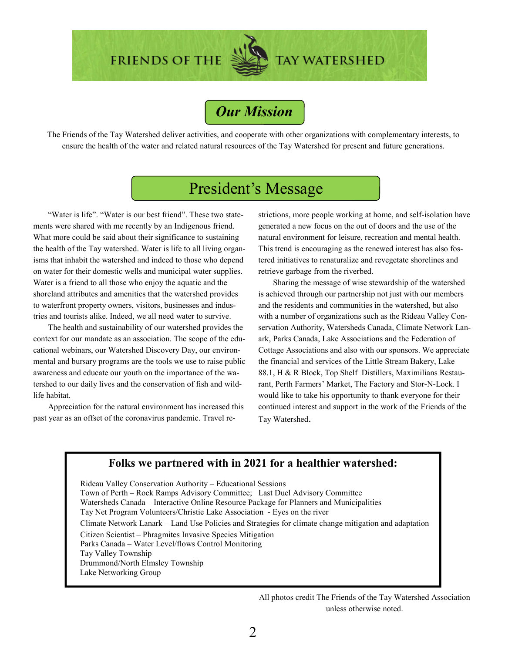**FRIENDS OF THE** 

# *Our Mission*

The Friends of the Tay Watershed deliver activities, and cooperate with other organizations with complementary interests, to ensure the health of the water and related natural resources of the Tay Watershed for present and future generations.

# President's Message

"Water is life". "Water is our best friend". These two statements were shared with me recently by an Indigenous friend. What more could be said about their significance to sustaining the health of the Tay watershed. Water is life to all living organisms that inhabit the watershed and indeed to those who depend on water for their domestic wells and municipal water supplies. Water is a friend to all those who enjoy the aquatic and the shoreland attributes and amenities that the watershed provides to waterfront property owners, visitors, businesses and industries and tourists alike. Indeed, we all need water to survive.

The health and sustainability of our watershed provides the context for our mandate as an association. The scope of the educational webinars, our Watershed Discovery Day, our environmental and bursary programs are the tools we use to raise public awareness and educate our youth on the importance of the watershed to our daily lives and the conservation of fish and wildlife habitat.

Appreciation for the natural environment has increased this past year as an offset of the coronavirus pandemic. Travel restrictions, more people working at home, and self-isolation have generated a new focus on the out of doors and the use of the natural environment for leisure, recreation and mental health. This trend is encouraging as the renewed interest has also fostered initiatives to renaturalize and revegetate shorelines and retrieve garbage from the riverbed.

**TAY WATERSHED** 

Sharing the message of wise stewardship of the watershed is achieved through our partnership not just with our members and the residents and communities in the watershed, but also with a number of organizations such as the Rideau Valley Conservation Authority, Watersheds Canada, Climate Network Lanark, Parks Canada, Lake Associations and the Federation of Cottage Associations and also with our sponsors. We appreciate the financial and services of the Little Stream Bakery, Lake 88.1, H & R Block, Top Shelf Distillers, Maximilians Restaurant, Perth Farmers' Market, The Factory and Stor-N-Lock. I would like to take his opportunity to thank everyone for their continued interest and support in the work of the Friends of the Tay Watershed.

### **Folks we partnered with in 2021 for a healthier watershed:**

Rideau Valley Conservation Authority – Educational Sessions Town of Perth – Rock Ramps Advisory Committee; Last Duel Advisory Committee Watersheds Canada – Interactive Online Resource Package for Planners and Municipalities Tay Net Program Volunteers/Christie Lake Association - Eyes on the river Climate Network Lanark – Land Use Policies and Strategies for climate change mitigation and adaptation Citizen Scientist – Phragmites Invasive Species Mitigation Parks Canada – Water Level/flows Control Monitoring Tay Valley Township Drummond/North Elmsley Township Lake Networking Group

> All photos credit The Friends of the Tay Watershed Association unless otherwise noted.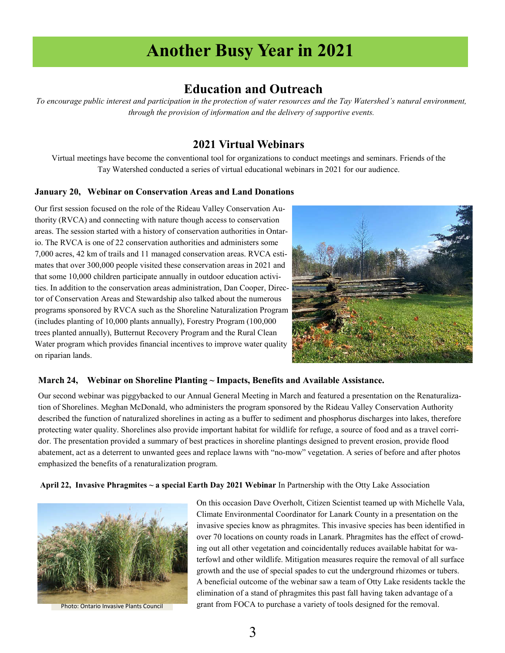# **Another Busy Year in 2021**

# **Education and Outreach**

*To encourage public interest and participation in the protection of water resources and the Tay Watershed's natural environment, through the provision of information and the delivery of supportive events.* 

## **2021 Virtual Webinars**

Virtual meetings have become the conventional tool for organizations to conduct meetings and seminars. Friends of the Tay Watershed conducted a series of virtual educational webinars in 2021 for our audience.

### **January 20, Webinar on Conservation Areas and Land Donations**

Our first session focused on the role of the Rideau Valley Conservation Authority (RVCA) and connecting with nature though access to conservation areas. The session started with a history of conservation authorities in Ontario. The RVCA is one of 22 conservation authorities and administers some 7,000 acres, 42 km of trails and 11 managed conservation areas. RVCA estimates that over 300,000 people visited these conservation areas in 2021 and that some 10,000 children participate annually in outdoor education activities. In addition to the conservation areas administration, Dan Cooper, Director of Conservation Areas and Stewardship also talked about the numerous programs sponsored by RVCA such as the Shoreline Naturalization Program (includes planting of 10,000 plants annually), Forestry Program (100,000 trees planted annually), Butternut Recovery Program and the Rural Clean Water program which provides financial incentives to improve water quality on riparian lands.



### **March 24, Webinar on Shoreline Planting ~ Impacts, Benefits and Available Assistance.**

Our second webinar was piggybacked to our Annual General Meeting in March and featured a presentation on the Renaturalization of Shorelines. Meghan McDonald, who administers the program sponsored by the Rideau Valley Conservation Authority described the function of naturalized shorelines in acting as a buffer to sediment and phosphorus discharges into lakes, therefore protecting water quality. Shorelines also provide important habitat for wildlife for refuge, a source of food and as a travel corridor. The presentation provided a summary of best practices in shoreline plantings designed to prevent erosion, provide flood abatement, act as a deterrent to unwanted gees and replace lawns with "no-mow" vegetation. A series of before and after photos emphasized the benefits of a renaturalization program.

**April 22, Invasive Phragmites ~ a special Earth Day 2021 Webinar** In Partnership with the Otty Lake Association



On this occasion Dave Overholt, Citizen Scientist teamed up with Michelle Vala, Climate Environmental Coordinator for Lanark County in a presentation on the invasive species know as phragmites. This invasive species has been identified in over 70 locations on county roads in Lanark. Phragmites has the effect of crowding out all other vegetation and coincidentally reduces available habitat for waterfowl and other wildlife. Mitigation measures require the removal of all surface growth and the use of special spades to cut the underground rhizomes or tubers. A beneficial outcome of the webinar saw a team of Otty Lake residents tackle the elimination of a stand of phragmites this past fall having taken advantage of a Photo: Ontario Invasive Plants Council grant from FOCA to purchase a variety of tools designed for the removal.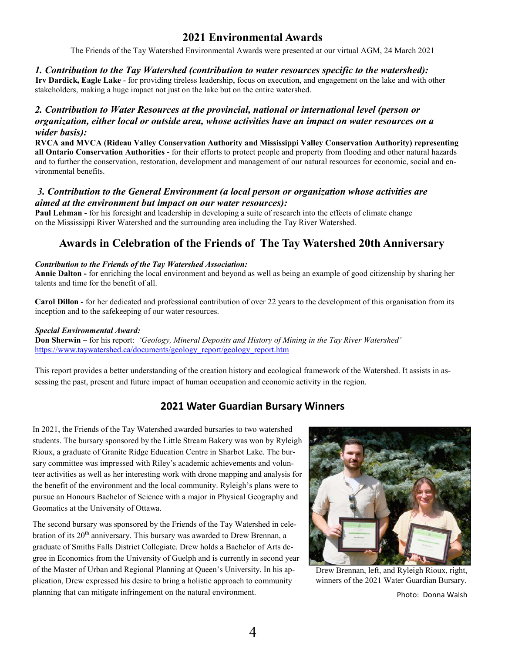# **2021 Environmental Awards**

The Friends of the Tay Watershed Environmental Awards were presented at our virtual AGM, 24 March 2021

### *1. Contribution to the Tay Watershed (contribution to water resources specific to the watershed):*

**Irv Dardick, Eagle Lake** - for providing tireless leadership, focus on execution, and engagement on the lake and with other stakeholders, making a huge impact not just on the lake but on the entire watershed.

### *2. Contribution to Water Resources at the provincial, national or international level (person or organization, either local or outside area, whose activities have an impact on water resources on a wider basis):*

**RVCA and MVCA (Rideau Valley Conservation Authority and Mississippi Valley Conservation Authority) representing all Ontario Conservation Authorities -** for their efforts to protect people and property from flooding and other natural hazards and to further the conservation, restoration, development and management of our natural resources for economic, social and environmental benefits.

### *3. Contribution to the General Environment (a local person or organization whose activities are aimed at the environment but impact on our water resources):*

**Paul Lehman -** for his foresight and leadership in developing a suite of research into the effects of climate change on the Mississippi River Watershed and the surrounding area including the Tay River Watershed.

# **Awards in Celebration of the Friends of The Tay Watershed 20th Anniversary**

### *Contribution to the Friends of the Tay Watershed Association:*

**Annie Dalton -** for enriching the local environment and beyond as well as being an example of good citizenship by sharing her talents and time for the benefit of all.

**Carol Dillon -** for her dedicated and professional contribution of over 22 years to the development of this organisation from its inception and to the safekeeping of our water resources.

### *Special Environmental Award:*

**Don Sherwin –** for his report: *'Geology, Mineral Deposits and History of Mining in the Tay River Watershed'* https://www.taywatershed.ca/documents/geology\_report/geology\_report.htm

This report provides a better understanding of the creation history and ecological framework of the Watershed. It assists in assessing the past, present and future impact of human occupation and economic activity in the region.

# **2021 Water Guardian Bursary Winners**

In 2021, the Friends of the Tay Watershed awarded bursaries to two watershed students. The bursary sponsored by the Little Stream Bakery was won by Ryleigh Rioux, a graduate of Granite Ridge Education Centre in Sharbot Lake. The bursary committee was impressed with Riley's academic achievements and volunteer activities as well as her interesting work with drone mapping and analysis for the benefit of the environment and the local community. Ryleigh's plans were to pursue an Honours Bachelor of Science with a major in Physical Geography and Geomatics at the University of Ottawa.

The second bursary was sponsored by the Friends of the Tay Watershed in celebration of its 20<sup>th</sup> anniversary. This bursary was awarded to Drew Brennan, a graduate of Smiths Falls District Collegiate. Drew holds a Bachelor of Arts degree in Economics from the University of Guelph and is currently in second year of the Master of Urban and Regional Planning at Queen's University. In his application, Drew expressed his desire to bring a holistic approach to community planning that can mitigate infringement on the natural environment.



Drew Brennan, left, and Ryleigh Rioux, right, winners of the 2021 Water Guardian Bursary.

Photo: Donna Walsh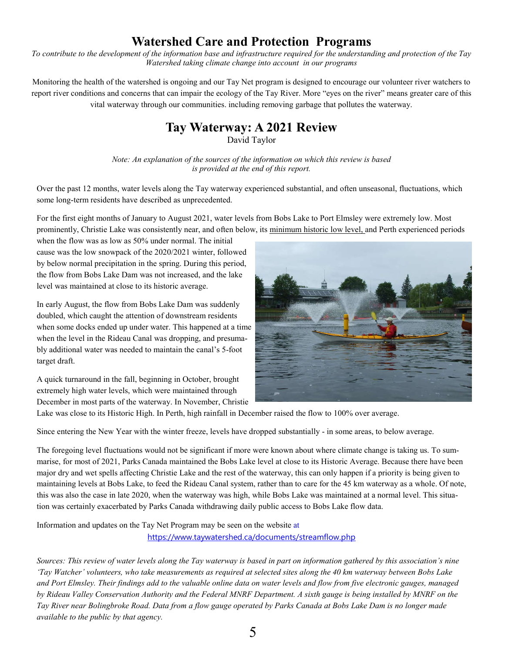# **Watershed Care and Protection Programs**

*To contribute to the development of the information base and infrastructure required for the understanding and protection of the Tay Watershed taking climate change into account in our programs*

Monitoring the health of the watershed is ongoing and our Tay Net program is designed to encourage our volunteer river watchers to report river conditions and concerns that can impair the ecology of the Tay River. More "eyes on the river" means greater care of this vital waterway through our communities. including removing garbage that pollutes the waterway.

## **Tay Waterway: A 2021 Review**  David Taylor

*Note: An explanation of the sources of the information on which this review is based is provided at the end of this report.*

Over the past 12 months, water levels along the Tay waterway experienced substantial, and often unseasonal, fluctuations, which some long-term residents have described as unprecedented.

For the first eight months of January to August 2021, water levels from Bobs Lake to Port Elmsley were extremely low. Most prominently, Christie Lake was consistently near, and often below, its minimum historic low level, and Perth experienced periods

when the flow was as low as 50% under normal. The initial cause was the low snowpack of the 2020/2021 winter, followed by below normal precipitation in the spring. During this period, the flow from Bobs Lake Dam was not increased, and the lake level was maintained at close to its historic average.

In early August, the flow from Bobs Lake Dam was suddenly doubled, which caught the attention of downstream residents when some docks ended up under water. This happened at a time when the level in the Rideau Canal was dropping, and presumably additional water was needed to maintain the canal's 5-foot target draft.

A quick turnaround in the fall, beginning in October, brought extremely high water levels, which were maintained through December in most parts of the waterway. In November, Christie



Lake was close to its Historic High. In Perth, high rainfall in December raised the flow to 100% over average.

Since entering the New Year with the winter freeze, levels have dropped substantially - in some areas, to below average.

The foregoing level fluctuations would not be significant if more were known about where climate change is taking us. To summarise, for most of 2021, Parks Canada maintained the Bobs Lake level at close to its Historic Average. Because there have been major dry and wet spells affecting Christie Lake and the rest of the waterway, this can only happen if a priority is being given to maintaining levels at Bobs Lake, to feed the Rideau Canal system, rather than to care for the 45 km waterway as a whole. Of note, this was also the case in late 2020, when the waterway was high, while Bobs Lake was maintained at a normal level. This situation was certainly exacerbated by Parks Canada withdrawing daily public access to Bobs Lake flow data.

Information and updates on the Tay Net Program may be seen on the website at

https://www.taywatershed.ca/documents/streamflow.php

*Sources: This review of water levels along the Tay waterway is based in part on information gathered by this association's nine 'Tay Watcher' volunteers, who take measurements as required at selected sites along the 40 km waterway between Bobs Lake and Port Elmsley. Their findings add to the valuable online data on water levels and flow from five electronic gauges, managed by Rideau Valley Conservation Authority and the Federal MNRF Department. A sixth gauge is being installed by MNRF on the Tay River near Bolingbroke Road. Data from a flow gauge operated by Parks Canada at Bobs Lake Dam is no longer made available to the public by that agency.*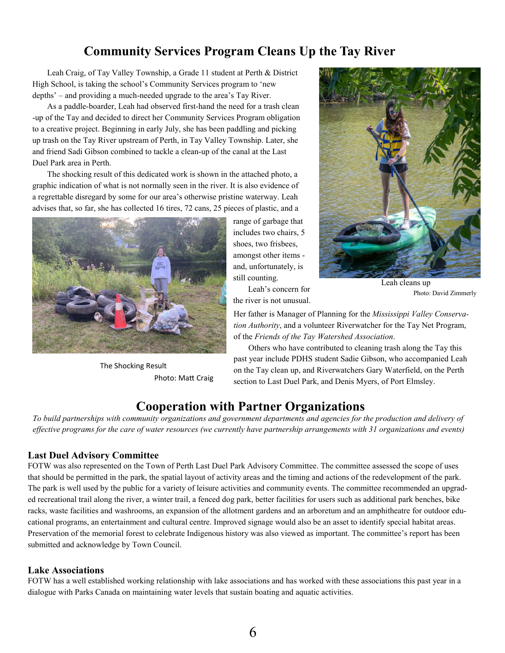# **Community Services Program Cleans Up the Tay River**

Leah Craig, of Tay Valley Township, a Grade 11 student at Perth & District High School, is taking the school's Community Services program to 'new depths' – and providing a much-needed upgrade to the area's Tay River.

As a paddle-boarder, Leah had observed first-hand the need for a trash clean -up of the Tay and decided to direct her Community Services Program obligation to a creative project. Beginning in early July, she has been paddling and picking up trash on the Tay River upstream of Perth, in Tay Valley Township. Later, she and friend Sadi Gibson combined to tackle a clean-up of the canal at the Last Duel Park area in Perth.

The shocking result of this dedicated work is shown in the attached photo, a graphic indication of what is not normally seen in the river. It is also evidence of a regrettable disregard by some for our area's otherwise pristine waterway. Leah advises that, so far, she has collected 16 tires, 72 cans, 25 pieces of plastic, and a



The Shocking Result Photo: Matt Craig

range of garbage that includes two chairs, 5 shoes, two frisbees, amongst other items and, unfortunately, is still counting.

Leah's concern for the river is not unusual.

Her father is Manager of Planning for the *Mississippi Valley Conservation Authority*, and a volunteer Riverwatcher for the Tay Net Program, of the *Friends of the Tay Watershed Association*.

Others who have contributed to cleaning trash along the Tay this past year include PDHS student Sadie Gibson, who accompanied Leah on the Tay clean up, and Riverwatchers Gary Waterfield, on the Perth section to Last Duel Park, and Denis Myers, of Port Elmsley.

# **Cooperation with Partner Organizations**

*To build partnerships with community organizations and government departments and agencies for the production and delivery of effective programs for the care of water resources (we currently have partnership arrangements with 31 organizations and events)*

### **Last Duel Advisory Committee**

FOTW was also represented on the Town of Perth Last Duel Park Advisory Committee. The committee assessed the scope of uses that should be permitted in the park, the spatial layout of activity areas and the timing and actions of the redevelopment of the park. The park is well used by the public for a variety of leisure activities and community events. The committee recommended an upgraded recreational trail along the river, a winter trail, a fenced dog park, better facilities for users such as additional park benches, bike racks, waste facilities and washrooms, an expansion of the allotment gardens and an arboretum and an amphitheatre for outdoor educational programs, an entertainment and cultural centre. Improved signage would also be an asset to identify special habitat areas. Preservation of the memorial forest to celebrate Indigenous history was also viewed as important. The committee's report has been submitted and acknowledge by Town Council.

### **Lake Associations**

FOTW has a well established working relationship with lake associations and has worked with these associations this past year in a dialogue with Parks Canada on maintaining water levels that sustain boating and aquatic activities.



Leah cleans up Photo: David Zimmerly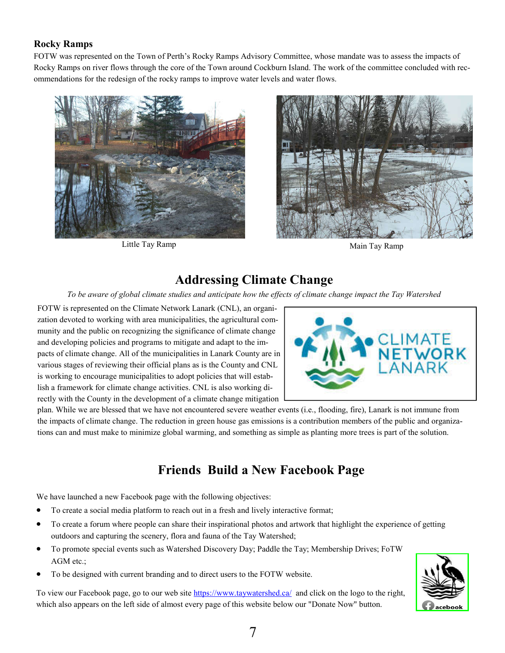## **Rocky Ramps**

FOTW was represented on the Town of Perth's Rocky Ramps Advisory Committee, whose mandate was to assess the impacts of Rocky Ramps on river flows through the core of the Town around Cockburn Island. The work of the committee concluded with recommendations for the redesign of the rocky ramps to improve water levels and water flows.



Little Tay Ramp Main Tay Ramp



# **Addressing Climate Change**

*To be aware of global climate studies and anticipate how the effects of climate change impact the Tay Watershed*

FOTW is represented on the Climate Network Lanark (CNL), an organization devoted to working with area municipalities, the agricultural community and the public on recognizing the significance of climate change and developing policies and programs to mitigate and adapt to the impacts of climate change. All of the municipalities in Lanark County are in various stages of reviewing their official plans as is the County and CNL is working to encourage municipalities to adopt policies that will establish a framework for climate change activities. CNL is also working directly with the County in the development of a climate change mitigation



plan. While we are blessed that we have not encountered severe weather events (i.e., flooding, fire), Lanark is not immune from the impacts of climate change. The reduction in green house gas emissions is a contribution members of the public and organizations can and must make to minimize global warming, and something as simple as planting more trees is part of the solution.

# **Friends Build a New Facebook Page**

We have launched a new Facebook page with the following objectives:

- To create a social media platform to reach out in a fresh and lively interactive format;
- To create a forum where people can share their inspirational photos and artwork that highlight the experience of getting outdoors and capturing the scenery, flora and fauna of the Tay Watershed;
- To promote special events such as Watershed Discovery Day; Paddle the Tay; Membership Drives; FoTW AGM etc.;
- To be designed with current branding and to direct users to the FOTW website.

To view our Facebook page, go to our web site https://www.taywatershed.ca/ and click on the logo to the right, which also appears on the left side of almost every page of this website below our "Donate Now" button.

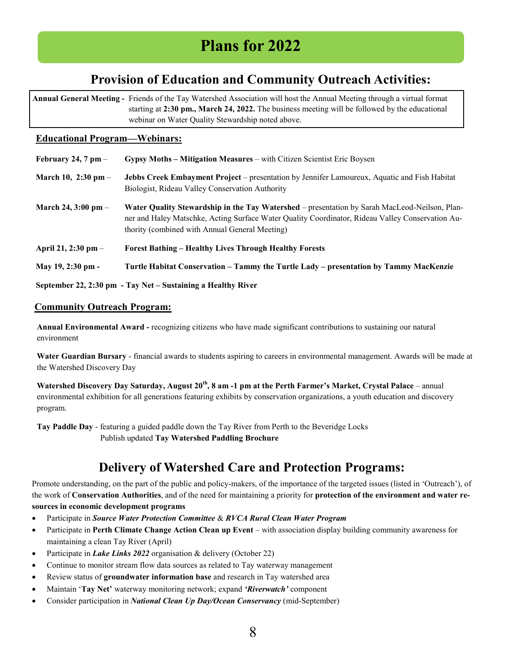# **Plans for 2022**

# **Provision of Education and Community Outreach Activities:**

**Annual General Meeting -** Friends of the Tay Watershed Association will host the Annual Meeting through a virtual format starting at **2:30 pm., March 24, 2022.** The business meeting will be followed by the educational webinar on Water Quality Stewardship noted above.

### **Educational Program—Webinars:**

| February 24, 7 pm $-$   | Gypsy Moths – Mitigation Measures – with Citizen Scientist Eric Boysen                                                                                                                                                                              |
|-------------------------|-----------------------------------------------------------------------------------------------------------------------------------------------------------------------------------------------------------------------------------------------------|
| March 10, $2:30$ pm –   | Jebbs Creek Embayment Project – presentation by Jennifer Lamoureux, Aquatic and Fish Habitat<br>Biologist, Rideau Valley Conservation Authority                                                                                                     |
| March 24, $3:00$ pm $-$ | Water Quality Stewardship in the Tay Watershed – presentation by Sarah MacLeod-Neilson, Plan-<br>ner and Haley Matschke, Acting Surface Water Quality Coordinator, Rideau Valley Conservation Au-<br>thority (combined with Annual General Meeting) |
| April 21, 2:30 pm –     | <b>Forest Bathing – Healthy Lives Through Healthy Forests</b>                                                                                                                                                                                       |
| May 19, 2:30 pm -       | Turtle Habitat Conservation – Tammy the Turtle Lady – presentation by Tammy MacKenzie                                                                                                                                                               |
|                         | September 22, 2:30 pm - Tay Net – Sustaining a Healthy River                                                                                                                                                                                        |

### **Community Outreach Program:**

**Annual Environmental Award -** recognizing citizens who have made significant contributions to sustaining our natural environment

**Water Guardian Bursary** - financial awards to students aspiring to careers in environmental management. Awards will be made at the Watershed Discovery Day

**Watershed Discovery Day Saturday, August 20th, 8 am -1 pm at the Perth Farmer's Market, Crystal Palace** – annual environmental exhibition for all generations featuring exhibits by conservation organizations, a youth education and discovery program.

**Tay Paddle Day** - featuring a guided paddle down the Tay River from Perth to the Beveridge Locks Publish updated **Tay Watershed Paddling Brochure**

# **Delivery of Watershed Care and Protection Programs:**

Promote understanding, on the part of the public and policy-makers, of the importance of the targeted issues (listed in 'Outreach'), of the work of **Conservation Authorities**, and of the need for maintaining a priority for **protection of the environment and water resources in economic development programs**

- Participate in *Source Water Protection Committee* & *RVCA Rural Clean Water Program*
- Participate in **Perth Climate Change Action Clean up Event** with association display building community awareness for maintaining a clean Tay River (April)
- Participate in *Lake Links 2022* organisation & delivery (October 22)
- Continue to monitor stream flow data sources as related to Tay waterway management
- Review status of **groundwater information base** and research in Tay watershed area
- Maintain '**Tay Net'** waterway monitoring network; expand *'Riverwatch'* component
- Consider participation in *National Clean Up Day/Ocean Conservancy* (mid-September)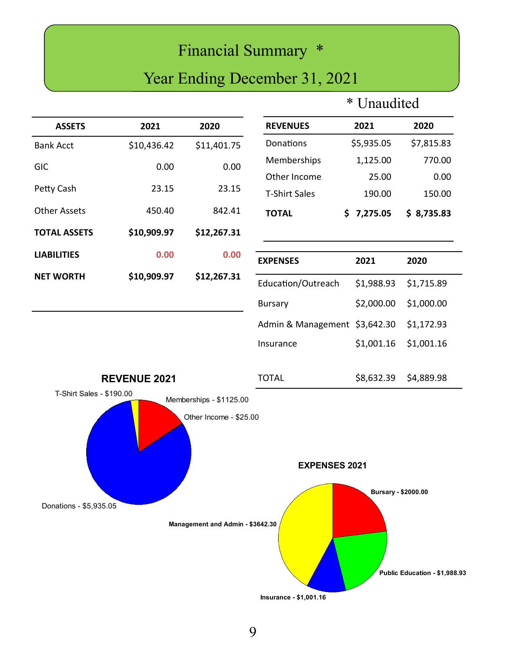# Financial Summary \*

# Year Ending December 31, 2021

# \* Unaudited

| <b>ASSETS</b>            | 2021                | 2020                                              | <b>REVENUES</b>               | 2021                | 2020                          |
|--------------------------|---------------------|---------------------------------------------------|-------------------------------|---------------------|-------------------------------|
| <b>Bank Acct</b>         | \$10,436.42         | \$11,401.75                                       | Donations                     | \$5,935.05          | \$7,815.83                    |
| <b>GIC</b>               | 0.00                | 0.00                                              | Memberships                   | 1,125.00            | 770.00                        |
|                          |                     |                                                   | Other Income                  | 25.00               | 0.00                          |
| Petty Cash               | 23.15               | 23.15                                             | <b>T-Shirt Sales</b>          | 190.00              | 150.00                        |
| <b>Other Assets</b>      | 450.40              | 842.41                                            | <b>TOTAL</b>                  | \$7,275.05          | \$8,735.83                    |
| <b>TOTAL ASSETS</b>      | \$10,909.97         | \$12,267.31                                       |                               |                     |                               |
| <b>LIABILITIES</b>       | 0.00                | 0.00                                              | <b>EXPENSES</b>               | 2021                | 2020                          |
| <b>NET WORTH</b>         | \$10,909.97         | \$12,267.31                                       | Education/Outreach            | \$1,988.93          | \$1,715.89                    |
|                          |                     |                                                   | <b>Bursary</b>                | \$2,000.00          | \$1,000.00                    |
|                          |                     |                                                   | Admin & Management \$3,642.30 |                     | \$1,172.93                    |
|                          |                     |                                                   | Insurance                     | \$1,001.16          | \$1,001.16                    |
|                          | <b>REVENUE 2021</b> |                                                   | <b>TOTAL</b>                  | \$8,632.39          | \$4,889.98                    |
| T-Shirt Sales - \$190.00 |                     | Memberships - \$1125.00<br>Other Income - \$25.00 | <b>EXPENSES 2021</b>          |                     |                               |
| Donations - \$5,935.05   |                     | Management and Admin - \$3642.30                  |                               | Bursary - \$2000.00 | Public Education - \$1,988.93 |
|                          |                     |                                                   | Insurance - \$1,001.16        |                     |                               |